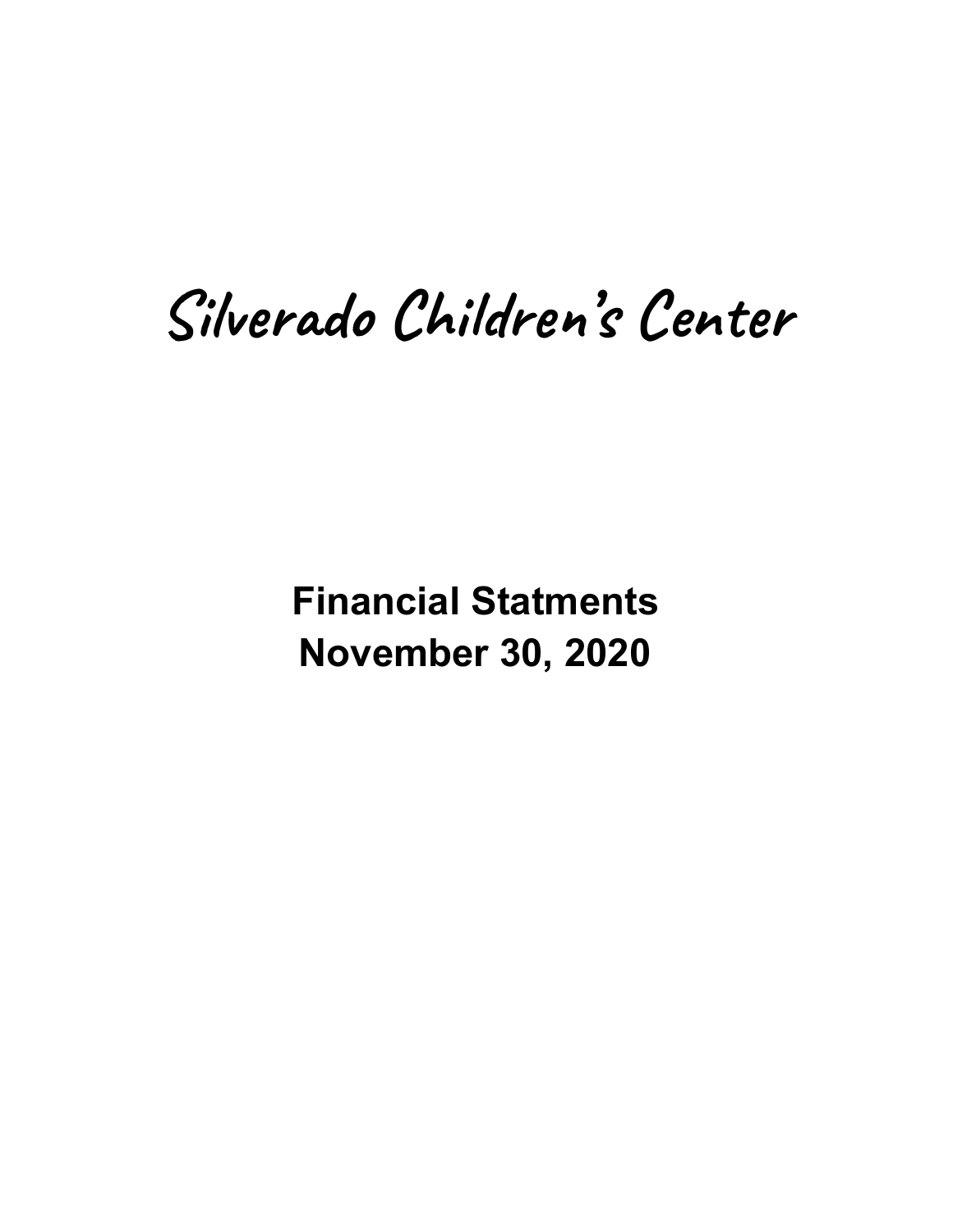# Silverado Children's Center

**Financial Statments November 30, 2020**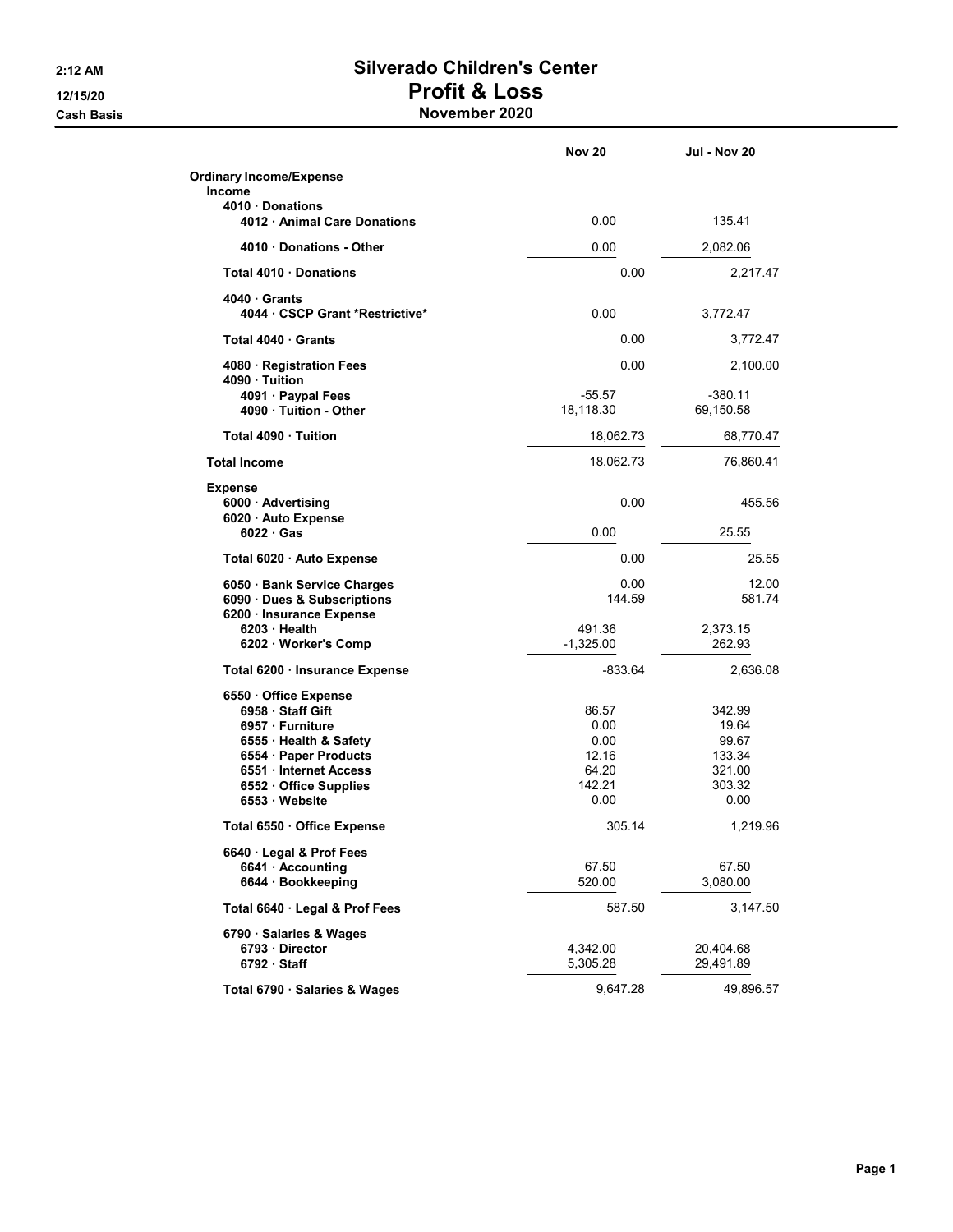#### 2:12 AM Silverado Children's Center 12/15/20 Profit & Loss Cash Basis **November 2020**

|                                                                                                                                           | <b>Nov 20</b>                                     | <b>Jul - Nov 20</b>                          |
|-------------------------------------------------------------------------------------------------------------------------------------------|---------------------------------------------------|----------------------------------------------|
| <b>Ordinary Income/Expense</b><br><b>Income</b>                                                                                           |                                                   |                                              |
| 4010 Donations<br>4012 · Animal Care Donations                                                                                            | 0.00                                              | 135.41                                       |
| 4010 Donations - Other                                                                                                                    | 0.00                                              | 2,082.06                                     |
| Total 4010 Donations                                                                                                                      | 0.00                                              | 2,217.47                                     |
| 4040 Grants<br>4044 · CSCP Grant *Restrictive*                                                                                            | 0.00                                              | 3,772.47                                     |
| Total 4040 Grants                                                                                                                         | 0.00                                              | 3,772.47                                     |
| 4080 · Registration Fees<br>4090 · Tuition                                                                                                | 0.00                                              | 2,100.00                                     |
| 4091 · Paypal Fees<br>4090 · Tuition - Other                                                                                              | $-55.57$<br>18,118.30                             | $-380.11$<br>69,150.58                       |
| Total 4090 Tuition                                                                                                                        | 18,062.73                                         | 68,770.47                                    |
| <b>Total Income</b>                                                                                                                       | 18,062.73                                         | 76,860.41                                    |
| <b>Expense</b><br>6000 · Advertising<br>6020 · Auto Expense                                                                               | 0.00                                              | 455.56                                       |
| $6022 \cdot Gas$                                                                                                                          | 0.00                                              | 25.55                                        |
| Total 6020 · Auto Expense                                                                                                                 | 0.00                                              | 25.55                                        |
| 6050 · Bank Service Charges<br>6090 · Dues & Subscriptions<br>6200 · Insurance Expense                                                    | 0.00<br>144.59                                    | 12.00<br>581.74                              |
| $6203 \cdot$ Health<br>6202 · Worker's Comp                                                                                               | 491.36<br>$-1,325.00$                             | 2,373.15<br>262.93                           |
| Total 6200 · Insurance Expense                                                                                                            | $-833.64$                                         | 2,636.08                                     |
| 6550 · Office Expense<br>6958 · Staff Gift<br>6957 · Furniture<br>6555 · Health & Safety<br>6554 · Paper Products<br>6551 Internet Access | 86.57<br>0.00<br>0.00<br>12.16<br>64.20<br>142.21 | 342.99<br>19.64<br>99.67<br>133.34<br>321.00 |
| 6552 · Office Supplies<br>6553 · Website                                                                                                  | 0.00                                              | 303.32<br>0.00                               |
| Total 6550 · Office Expense                                                                                                               | 305.14                                            | 1,219.96                                     |
| 6640 Legal & Prof Fees<br>6641 · Accounting<br>6644 · Bookkeeping                                                                         | 67.50<br>520.00                                   | 67.50<br>3,080.00                            |
| Total 6640 · Legal & Prof Fees                                                                                                            | 587.50                                            | 3,147.50                                     |
| 6790 · Salaries & Wages<br>6793 · Director<br>$6792 \cdot$ Staff                                                                          | 4,342.00<br>5,305.28                              | 20,404.68<br>29,491.89                       |
| Total 6790 · Salaries & Wages                                                                                                             | 9,647.28                                          | 49,896.57                                    |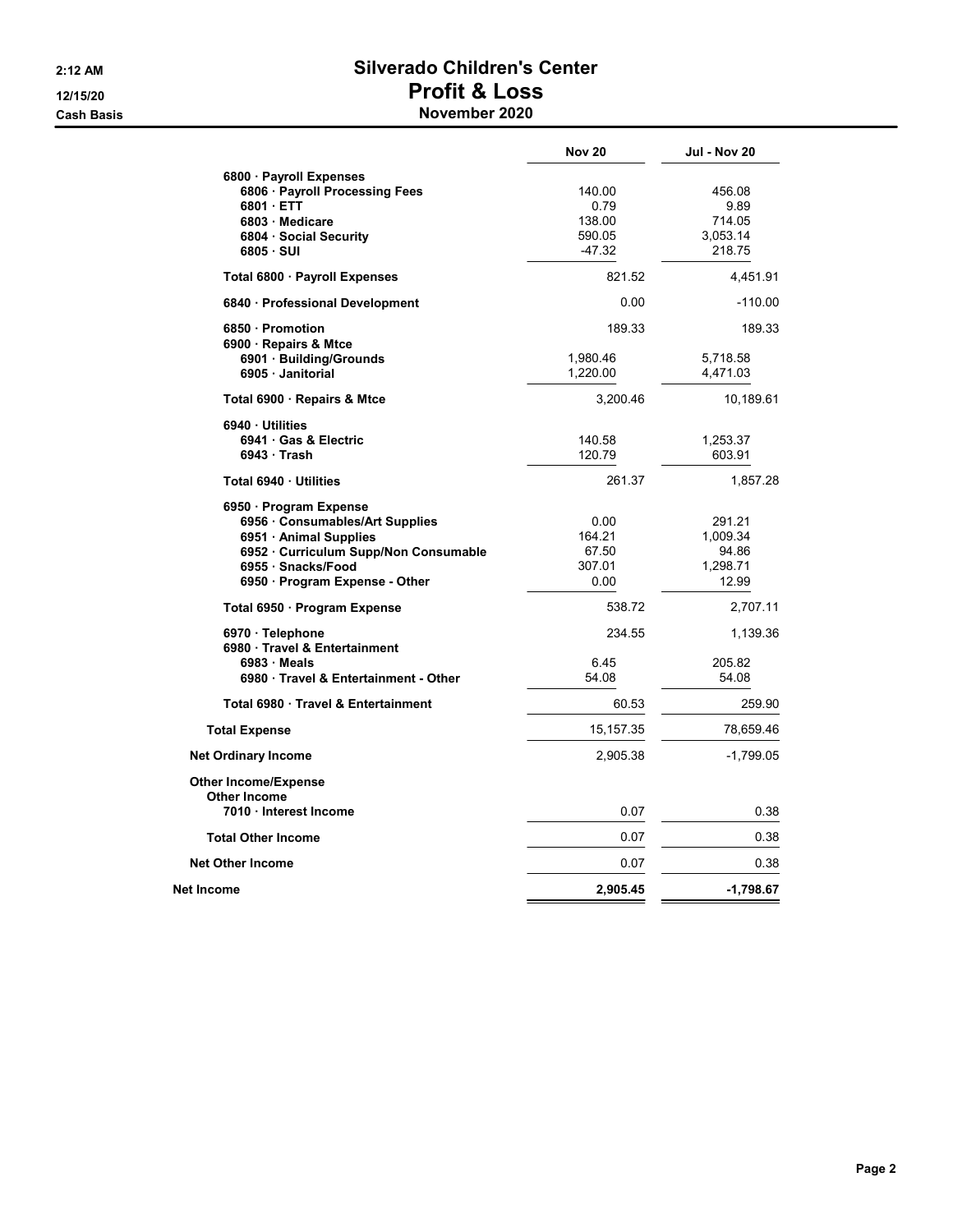#### 2:12 AM Silverado Children's Center 12/15/20 Profit & Loss **Cash Basis** Cash Basis **November 2020**

|                                     | <b>Nov 20</b> | <b>Jul - Nov 20</b> |
|-------------------------------------|---------------|---------------------|
| 6800 · Payroll Expenses             |               |                     |
| 6806 · Payroll Processing Fees      | 140.00        | 456.08              |
| 6801 · ETT                          | 0.79          | 9.89                |
| 6803 · Medicare                     | 138.00        | 714.05              |
| 6804 · Social Security              | 590.05        | 3,053.14            |
| $6805 \cdot SUI$                    | $-47.32$      | 218.75              |
| Total 6800 · Payroll Expenses       | 821.52        | 4,451.91            |
| 6840 · Professional Development     | 0.00          | $-110.00$           |
| 6850 Promotion                      | 189.33        | 189.33              |
| 6900 · Repairs & Mtce               |               |                     |
| 6901 · Building/Grounds             | 1,980.46      | 5,718.58            |
| 6905 · Janitorial                   | 1,220.00      | 4,471.03            |
| Total 6900 · Repairs & Mtce         | 3,200.46      | 10,189.61           |
| 6940 Utilities                      |               |                     |
| 6941 Gas & Electric                 | 140.58        | 1,253.37            |
| 6943 Trash                          | 120.79        | 603.91              |
| Total 6940 · Utilities              | 261.37        | 1,857.28            |
| 6950 · Program Expense              |               |                     |
| 6956 · Consumables/Art Supplies     | 0.00          | 291.21              |
| 6951 · Animal Supplies              | 164.21        | 1,009.34            |
| 6952 Curriculum Supp/Non Consumable | 67.50         | 94.86               |
| 6955 · Snacks/Food                  | 307.01        | 1,298.71            |
| 6950 · Program Expense - Other      | 0.00          | 12.99               |
| Total 6950 · Program Expense        | 538.72        | 2,707.11            |
| 6970 · Telephone                    | 234.55        | 1,139.36            |
| 6980 Travel & Entertainment         |               |                     |
| $6983 \cdot \text{Meals}$           | 6.45          | 205.82              |
| 6980 Travel & Entertainment - Other | 54.08         | 54.08               |
| Total 6980 Travel & Entertainment   | 60.53         | 259.90              |
| <b>Total Expense</b>                | 15, 157. 35   | 78,659.46           |
| <b>Net Ordinary Income</b>          | 2,905.38      | $-1,799.05$         |
| <b>Other Income/Expense</b>         |               |                     |
| <b>Other Income</b>                 |               |                     |
| 7010 Interest Income                | 0.07          | 0.38                |
| <b>Total Other Income</b>           | 0.07          | 0.38                |
| <b>Net Other Income</b>             | 0.07          | 0.38                |
| Net Income                          | 2,905.45      | $-1,798.67$         |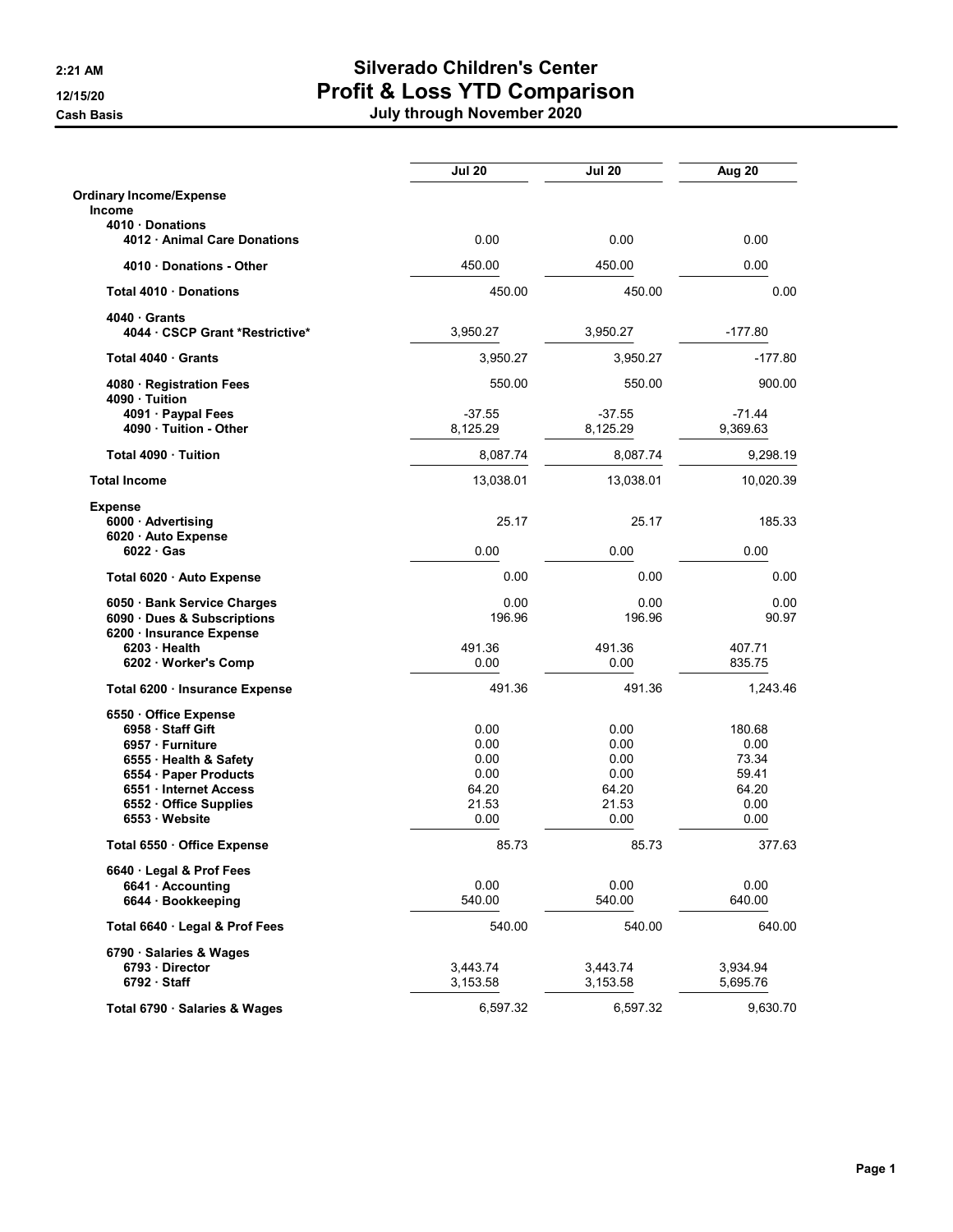|                                                                 | <b>Jul 20</b>        | <b>Jul 20</b>        | Aug 20               |
|-----------------------------------------------------------------|----------------------|----------------------|----------------------|
| <b>Ordinary Income/Expense</b>                                  |                      |                      |                      |
| <b>Income</b>                                                   |                      |                      |                      |
| 4010 Donations<br>4012 Animal Care Donations                    | 0.00                 | 0.00                 | 0.00                 |
| 4010 Donations - Other                                          | 450.00               | 450.00               | 0.00                 |
| Total 4010 Donations                                            | 450.00               | 450.00               | 0.00                 |
| 4040 Grants<br>4044 CSCP Grant *Restrictive*                    | 3,950.27             | 3,950.27             | $-177.80$            |
| Total 4040 Grants                                               | 3,950.27             | 3,950.27             | $-177.80$            |
| 4080 · Registration Fees<br>4090 · Tuition                      | 550.00               | 550.00               | 900.00               |
| 4091 · Paypal Fees<br>4090 Tuition - Other                      | $-37.55$<br>8,125.29 | $-37.55$<br>8,125.29 | $-71.44$<br>9,369.63 |
| Total 4090 Tuition                                              | 8,087.74             | 8,087.74             | 9,298.19             |
| <b>Total Income</b>                                             | 13,038.01            | 13,038.01            | 10,020.39            |
| <b>Expense</b>                                                  |                      |                      |                      |
| 6000 Advertising<br>6020 · Auto Expense                         | 25.17                | 25.17                | 185.33               |
| $6022 \cdot Gas$                                                | 0.00                 | 0.00                 | 0.00                 |
| Total 6020 · Auto Expense                                       | 0.00                 | 0.00                 | 0.00                 |
| 6050 · Bank Service Charges<br>6090 · Dues & Subscriptions      | 0.00<br>196.96       | 0.00<br>196.96       | 0.00<br>90.97        |
| 6200 · Insurance Expense<br>6203 Health<br>6202 · Worker's Comp | 491.36<br>0.00       | 491.36<br>0.00       | 407.71<br>835.75     |
| Total 6200 · Insurance Expense                                  | 491.36               | 491.36               | 1,243.46             |
| 6550 Office Expense<br>6958 Staff Gift                          | 0.00                 | 0.00                 | 180.68               |
| 6957 · Furniture                                                | 0.00                 | 0.00                 | 0.00                 |
| 6555 · Health & Safety                                          | 0.00                 | 0.00                 | 73.34                |
| 6554 · Paper Products                                           | 0.00                 | 0.00                 | 59.41                |
| 6551 Internet Access                                            | 64.20                | 64.20                | 64.20                |
| 6552 Office Supplies<br>6553 Website                            | 21.53<br>0.00        | 21.53<br>0.00        | 0.00<br>0.00         |
| Total 6550 Office Expense                                       | 85.73                | 85.73                | 377.63               |
| 6640 · Legal & Prof Fees                                        |                      |                      |                      |
| 6641 · Accounting                                               | 0.00                 | 0.00                 | 0.00                 |
| 6644 · Bookkeeping                                              | 540.00               | 540.00               | 640.00               |
| Total 6640 Legal & Prof Fees                                    | 540.00               | 540.00               | 640.00               |
| 6790 · Salaries & Wages                                         |                      |                      |                      |
| 6793 Director<br>$6792 \cdot$ Staff                             | 3,443.74<br>3,153.58 | 3,443.74<br>3,153.58 | 3,934.94<br>5,695.76 |
| Total 6790 · Salaries & Wages                                   | 6,597.32             | 6,597.32             | 9,630.70             |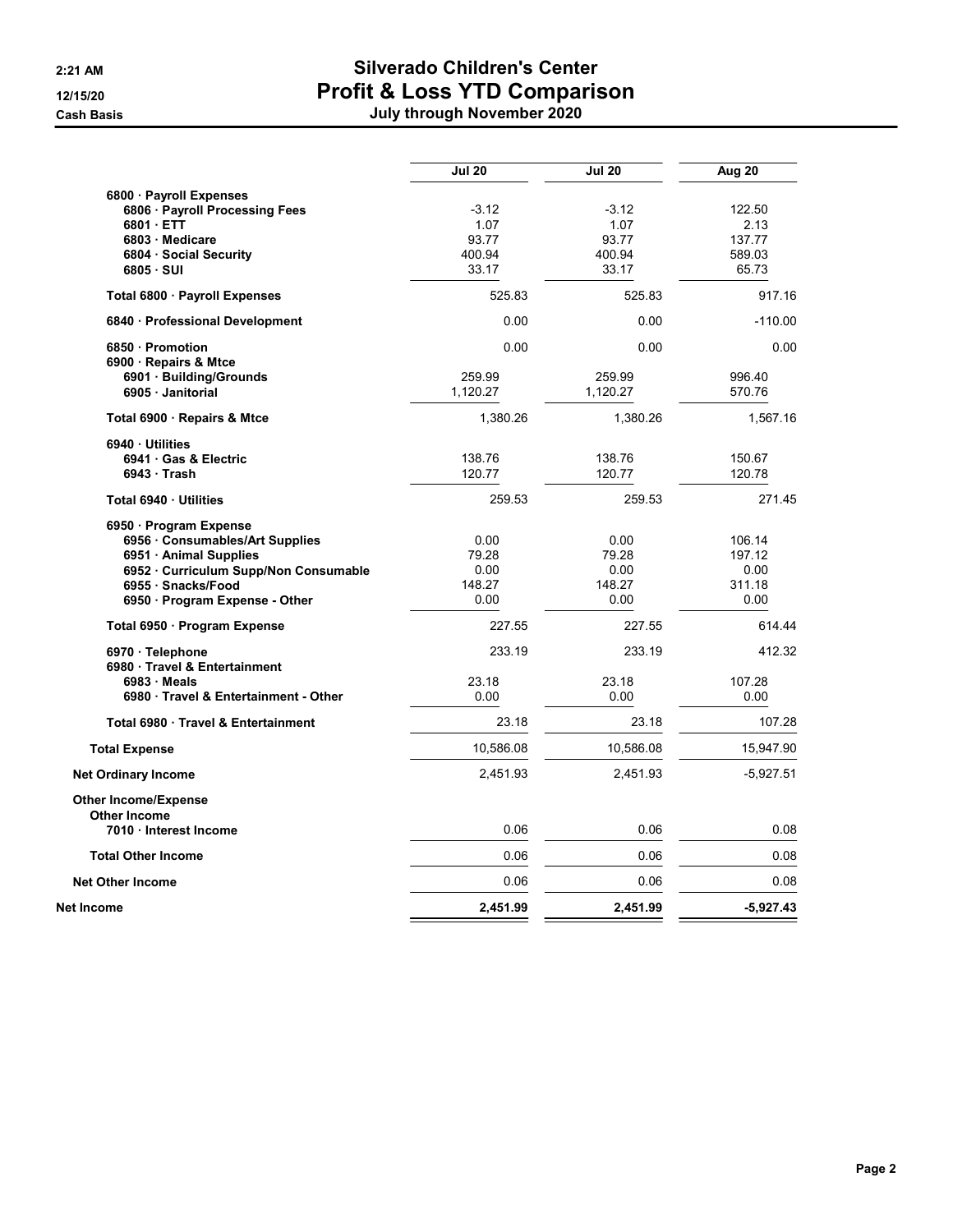|  |  | July through November 2020 |  |
|--|--|----------------------------|--|
|  |  |                            |  |

|                                                           | <b>Jul 20</b> | <b>Jul 20</b> | Aug 20         |
|-----------------------------------------------------------|---------------|---------------|----------------|
| 6800 · Payroll Expenses                                   |               |               |                |
| 6806 · Payroll Processing Fees                            | $-3.12$       | $-3.12$       | 122.50         |
| 6801 ETT                                                  | 1.07          | 1.07          | 2.13           |
| 6803 Medicare                                             | 93.77         | 93.77         | 137.77         |
| 6804 · Social Security                                    | 400.94        | 400.94        | 589.03         |
| 6805 · SUI                                                | 33.17         | 33.17         | 65.73          |
| Total 6800 · Payroll Expenses                             | 525.83        | 525.83        | 917.16         |
| 6840 Professional Development                             | 0.00          | 0.00          | $-110.00$      |
| 6850 · Promotion                                          | 0.00          | 0.00          | 0.00           |
| 6900 · Repairs & Mtce                                     |               |               |                |
| 6901 Building/Grounds                                     | 259.99        | 259.99        | 996.40         |
| 6905 Janitorial                                           | 1,120.27      | 1,120.27      | 570.76         |
| Total 6900 · Repairs & Mtce                               | 1,380.26      | 1,380.26      | 1,567.16       |
| 6940 Utilities                                            |               |               |                |
| 6941 Gas & Electric                                       | 138.76        | 138.76        | 150.67         |
| $6943 \cdot$ Trash                                        | 120.77        | 120.77        | 120.78         |
| Total 6940 · Utilities                                    | 259.53        | 259.53        | 271.45         |
| 6950 · Program Expense                                    |               |               |                |
| 6956 Consumables/Art Supplies                             | 0.00          | 0.00          | 106.14         |
| 6951 · Animal Supplies                                    | 79.28         | 79.28         | 197.12         |
| 6952 Curriculum Supp/Non Consumable                       | 0.00          | 0.00          | 0.00           |
| 6955 · Snacks/Food                                        | 148.27        | 148.27        | 311.18         |
| 6950 · Program Expense - Other                            | 0.00          | 0.00          | 0.00           |
| Total 6950 · Program Expense                              | 227.55        | 227.55        | 614.44         |
| 6970 · Telephone                                          | 233.19        | 233.19        | 412.32         |
| 6980 Travel & Entertainment                               |               |               |                |
| $6983 \cdot$ Meals<br>6980 Travel & Entertainment - Other | 23.18         | 23.18<br>0.00 | 107.28<br>0.00 |
|                                                           | 0.00          |               |                |
| Total 6980 Travel & Entertainment                         | 23.18         | 23.18         | 107.28         |
| <b>Total Expense</b>                                      | 10,586.08     | 10,586.08     | 15,947.90      |
| <b>Net Ordinary Income</b>                                | 2,451.93      | 2,451.93      | $-5,927.51$    |
| <b>Other Income/Expense</b>                               |               |               |                |
| <b>Other Income</b>                                       |               |               |                |
| 7010 Interest Income                                      | 0.06          | 0.06          | 0.08           |
| <b>Total Other Income</b>                                 | 0.06          | 0.06          | 0.08           |
| <b>Net Other Income</b>                                   | 0.06          | 0.06          | 0.08           |
| Net Income                                                | 2.451.99      | 2.451.99      | $-5.927.43$    |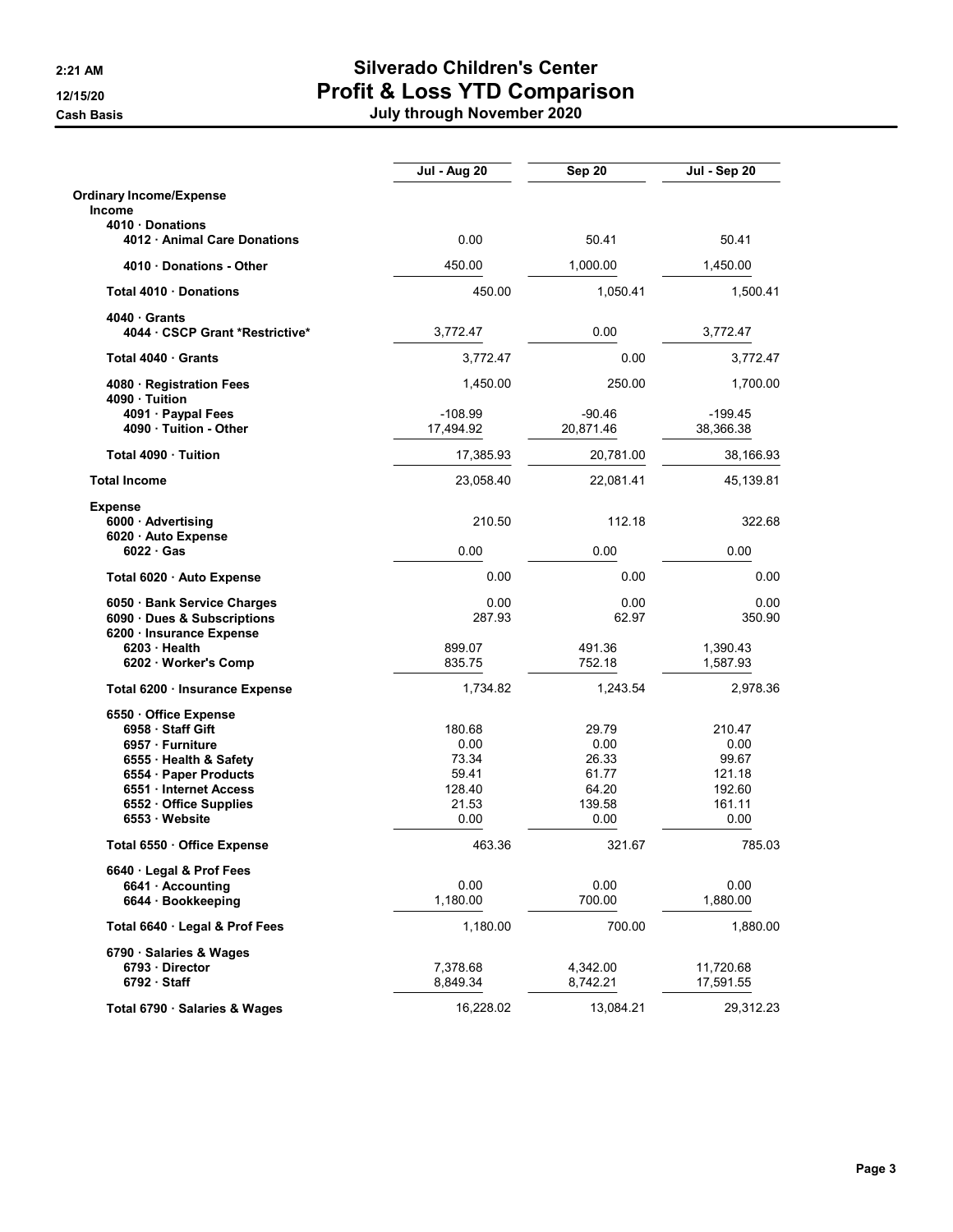|                                                                                    | <b>Jul - Aug 20</b>     | Sep 20                  | $\overline{J}$ ul - Sep 20 |
|------------------------------------------------------------------------------------|-------------------------|-------------------------|----------------------------|
| <b>Ordinary Income/Expense</b>                                                     |                         |                         |                            |
| <b>Income</b>                                                                      |                         |                         |                            |
| 4010 Donations<br>4012 Animal Care Donations                                       | 0.00                    | 50.41                   | 50.41                      |
| 4010 Donations - Other                                                             | 450.00                  | 1,000.00                | 1,450.00                   |
| Total 4010 Donations                                                               | 450.00                  | 1,050.41                | 1,500.41                   |
| 4040 Grants<br>4044 CSCP Grant *Restrictive*                                       | 3,772.47                | 0.00                    | 3,772.47                   |
| Total 4040 Grants                                                                  | 3.772.47                | 0.00                    | 3,772.47                   |
| 4080 · Registration Fees<br>4090 · Tuition                                         | 1,450.00                | 250.00                  | 1,700.00                   |
| 4091 · Paypal Fees<br>4090 Tuition - Other                                         | $-108.99$<br>17,494.92  | $-90.46$<br>20,871.46   | $-199.45$<br>38,366.38     |
| Total 4090 Tuition                                                                 | 17,385.93               | 20,781.00               | 38,166.93                  |
| <b>Total Income</b>                                                                | 23,058.40               | 22,081.41               | 45,139.81                  |
| <b>Expense</b><br>6000 · Advertising<br>6020 · Auto Expense                        | 210.50                  | 112.18                  | 322.68                     |
| $6022 \cdot Gas$                                                                   | 0.00                    | 0.00                    | 0.00                       |
| Total 6020 · Auto Expense                                                          | 0.00                    | 0.00                    | 0.00                       |
| 6050 Bank Service Charges<br>6090 Dues & Subscriptions<br>6200 · Insurance Expense | 0.00<br>287.93          | 0.00<br>62.97           | 0.00<br>350.90             |
| 6203 Health<br>6202 · Worker's Comp                                                | 899.07<br>835.75        | 491.36<br>752.18        | 1,390.43<br>1,587.93       |
| Total 6200 · Insurance Expense                                                     | 1,734.82                | 1,243.54                | 2,978.36                   |
| 6550 Office Expense<br>6958 Staff Gift<br>6957 · Furniture                         | 180.68<br>0.00          | 29.79<br>0.00           | 210.47<br>0.00             |
| 6555 · Health & Safety<br>6554 · Paper Products                                    | 73.34<br>59.41          | 26.33<br>61.77          | 99.67<br>121.18            |
| 6551 Internet Access<br>6552 Office Supplies<br>6553 Website                       | 128.40<br>21.53<br>0.00 | 64.20<br>139.58<br>0.00 | 192.60<br>161.11<br>0.00   |
| Total 6550 · Office Expense                                                        | 463.36                  | 321.67                  | 785.03                     |
| 6640 Legal & Prof Fees                                                             |                         |                         |                            |
| 6641 Accounting<br>6644 · Bookkeeping                                              | 0.00<br>1,180.00        | 0.00<br>700.00          | 0.00<br>1,880.00           |
| Total 6640 · Legal & Prof Fees                                                     | 1,180.00                | 700.00                  | 1,880.00                   |
| 6790 · Salaries & Wages<br>6793 · Director<br>$6792 \cdot$ Staff                   | 7,378.68<br>8,849.34    | 4,342.00<br>8,742.21    | 11,720.68<br>17,591.55     |
| Total 6790 · Salaries & Wages                                                      | 16,228.02               | 13,084.21               | 29,312.23                  |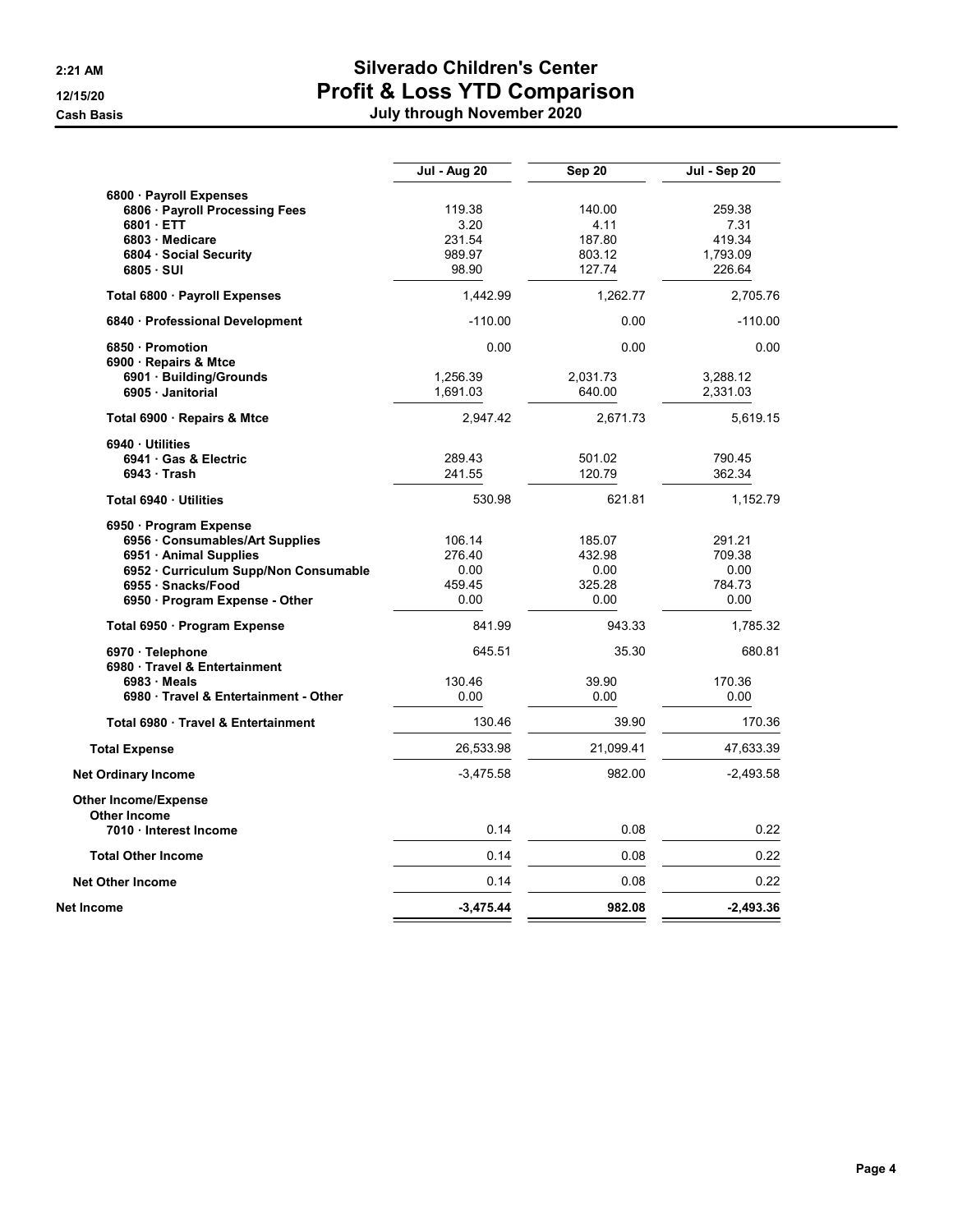|                                     | Jul - Aug 20 | <b>Sep 20</b> | Jul - Sep 20 |
|-------------------------------------|--------------|---------------|--------------|
| 6800 · Payroll Expenses             |              |               |              |
| 6806 · Payroll Processing Fees      | 119.38       | 140.00        | 259.38       |
| 6801 ETT                            | 3.20         | 4.11          | 7.31         |
| 6803 · Medicare                     | 231.54       | 187.80        | 419.34       |
| 6804 Social Security                | 989.97       | 803.12        | 1,793.09     |
| 6805 · SUI                          | 98.90        | 127.74        | 226.64       |
| Total 6800 · Payroll Expenses       | 1.442.99     | 1,262.77      | 2,705.76     |
| 6840 · Professional Development     | $-110.00$    | 0.00          | $-110.00$    |
| 6850 Promotion                      | 0.00         | 0.00          | 0.00         |
| 6900 · Repairs & Mtce               |              |               |              |
| 6901 Building/Grounds               | 1,256.39     | 2,031.73      | 3,288.12     |
| 6905 · Janitorial                   | 1,691.03     | 640.00        | 2,331.03     |
| Total 6900 · Repairs & Mtce         | 2,947.42     | 2,671.73      | 5,619.15     |
| 6940 Utilities                      |              |               |              |
| 6941 Gas & Electric                 | 289.43       | 501.02        | 790.45       |
| $6943$ Trash                        | 241.55       | 120.79        | 362.34       |
| Total 6940 · Utilities              | 530.98       | 621.81        | 1,152.79     |
| 6950 Program Expense                |              |               |              |
| 6956 Consumables/Art Supplies       | 106.14       | 185.07        | 291.21       |
| 6951 · Animal Supplies              | 276.40       | 432.98        | 709.38       |
| 6952 Curriculum Supp/Non Consumable | 0.00         | 0.00          | 0.00         |
| 6955 · Snacks/Food                  | 459.45       | 325.28        | 784.73       |
| 6950 · Program Expense - Other      | 0.00         | 0.00          | 0.00         |
| Total 6950 · Program Expense        | 841.99       | 943.33        | 1,785.32     |
| 6970 · Telephone                    | 645.51       | 35.30         | 680.81       |
| 6980 Travel & Entertainment         |              |               |              |
| $6983 \cdot$ Meals                  | 130.46       | 39.90         | 170.36       |
| 6980 Travel & Entertainment - Other | 0.00         | 0.00          | 0.00         |
| Total 6980 Travel & Entertainment   | 130.46       | 39.90         | 170.36       |
| <b>Total Expense</b>                | 26,533.98    | 21,099.41     | 47,633.39    |
| <b>Net Ordinary Income</b>          | $-3,475.58$  | 982.00        | $-2,493.58$  |
| <b>Other Income/Expense</b>         |              |               |              |
| <b>Other Income</b>                 |              |               |              |
| 7010 Interest Income                | 0.14         | 0.08          | 0.22         |
| <b>Total Other Income</b>           | 0.14         | 0.08          | 0.22         |
| <b>Net Other Income</b>             | 0.14         | 0.08          | 0.22         |
| Net Income                          | $-3,475.44$  | 982.08        | $-2,493.36$  |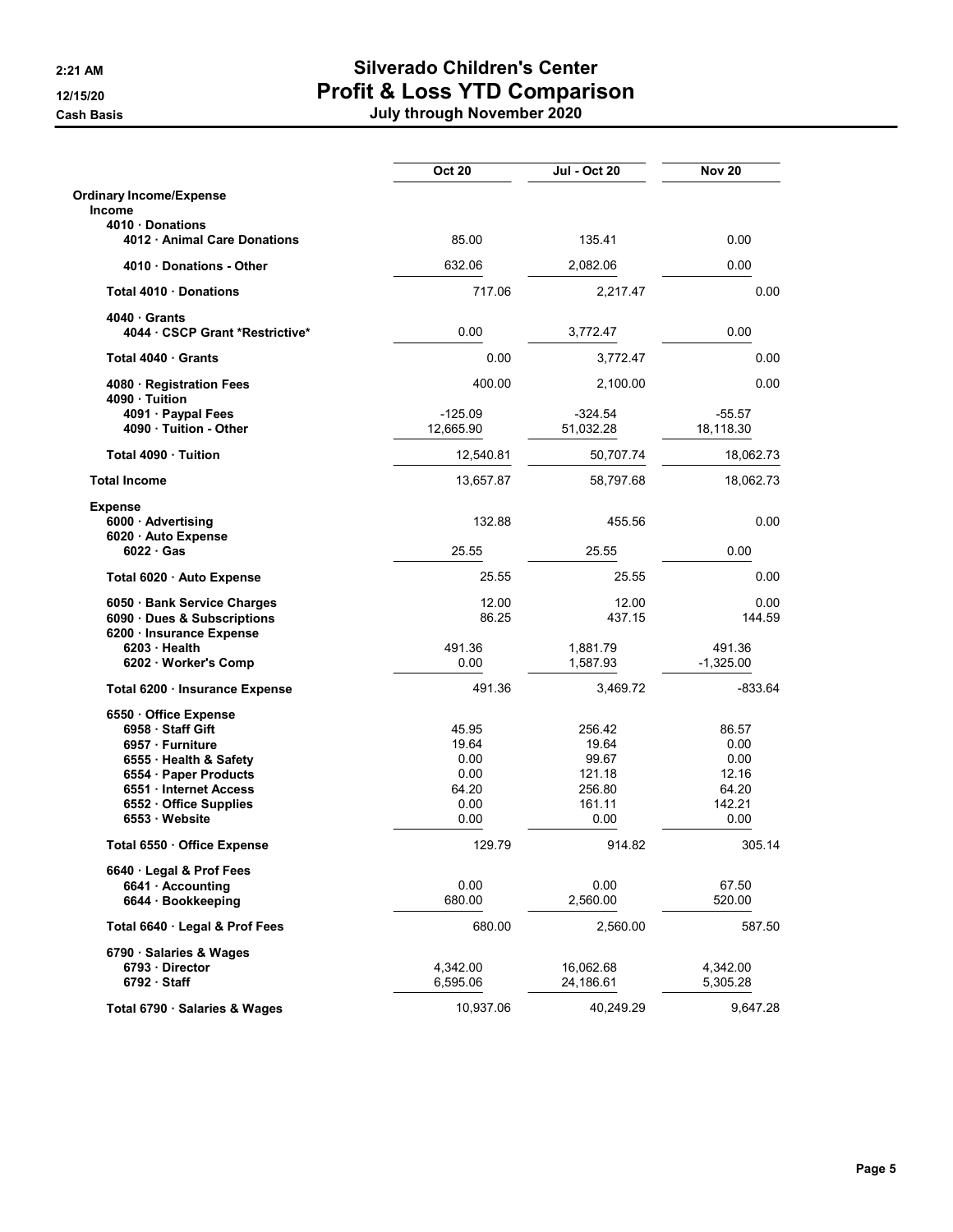|                                                | <b>Oct 20</b> | Jul - Oct 20     | <b>Nov 20</b>  |
|------------------------------------------------|---------------|------------------|----------------|
| <b>Ordinary Income/Expense</b>                 |               |                  |                |
| Income                                         |               |                  |                |
| 4010 Donations<br>4012 · Animal Care Donations | 85.00         | 135.41           | 0.00           |
| 4010 Donations - Other                         | 632.06        | 2,082.06         | 0.00           |
| Total 4010 · Donations                         | 717.06        | 2,217.47         | 0.00           |
| 4040 Grants                                    |               |                  |                |
| 4044 · CSCP Grant *Restrictive*                | 0.00          | 3,772.47         | 0.00           |
| Total 4040 Grants                              | 0.00          | 3,772.47         | 0.00           |
| 4080 · Registration Fees<br>4090 Tuition       | 400.00        | 2,100.00         | 0.00           |
| 4091 · Paypal Fees                             | $-125.09$     | $-324.54$        | $-55.57$       |
| 4090 · Tuition - Other                         | 12,665.90     | 51,032.28        | 18,118.30      |
| Total 4090 Tuition                             | 12,540.81     | 50,707.74        | 18,062.73      |
| <b>Total Income</b>                            | 13,657.87     | 58,797.68        | 18,062.73      |
| <b>Expense</b>                                 |               |                  |                |
| 6000 · Advertising                             | 132.88        | 455.56           | 0.00           |
| 6020 · Auto Expense<br>$6022 \cdot Gas$        | 25.55         | 25.55            | 0.00           |
| Total 6020 · Auto Expense                      | 25.55         | 25.55            | 0.00           |
| 6050 Bank Service Charges                      | 12.00         | 12.00            | 0.00           |
| 6090 Dues & Subscriptions                      | 86.25         | 437.15           | 144.59         |
| 6200 · Insurance Expense                       |               |                  |                |
| 6203 Health                                    | 491.36        | 1,881.79         | 491.36         |
| 6202 · Worker's Comp                           | 0.00          | 1,587.93         | $-1,325.00$    |
| Total 6200 · Insurance Expense                 | 491.36        | 3,469.72         | $-833.64$      |
| 6550 Office Expense                            |               |                  |                |
| 6958 Staff Gift                                | 45.95         | 256.42           | 86.57          |
| 6957 · Furniture                               | 19.64         | 19.64            | 0.00           |
| 6555 · Health & Safety                         | 0.00          | 99.67            | 0.00           |
| 6554 · Paper Products                          | 0.00<br>64.20 | 121.18<br>256.80 | 12.16<br>64.20 |
| 6551 Internet Access<br>6552 Office Supplies   | 0.00          | 161.11           | 142.21         |
| 6553 Website                                   | 0.00          | 0.00             | 0.00           |
| Total 6550 · Office Expense                    | 129.79        | 914.82           | 305.14         |
| 6640 Legal & Prof Fees                         |               |                  |                |
| 6641 · Accounting                              | 0.00          | 0.00             | 67.50          |
| 6644 · Bookkeeping                             | 680.00        | 2,560.00         | 520.00         |
| Total 6640 · Legal & Prof Fees                 | 680.00        | 2,560.00         | 587.50         |
| 6790 · Salaries & Wages                        |               |                  |                |
| 6793 Director                                  | 4,342.00      | 16,062.68        | 4,342.00       |
| $6792 \cdot$ Staff                             | 6,595.06      | 24,186.61        | 5,305.28       |
| Total 6790 · Salaries & Wages                  | 10,937.06     | 40,249.29        | 9,647.28       |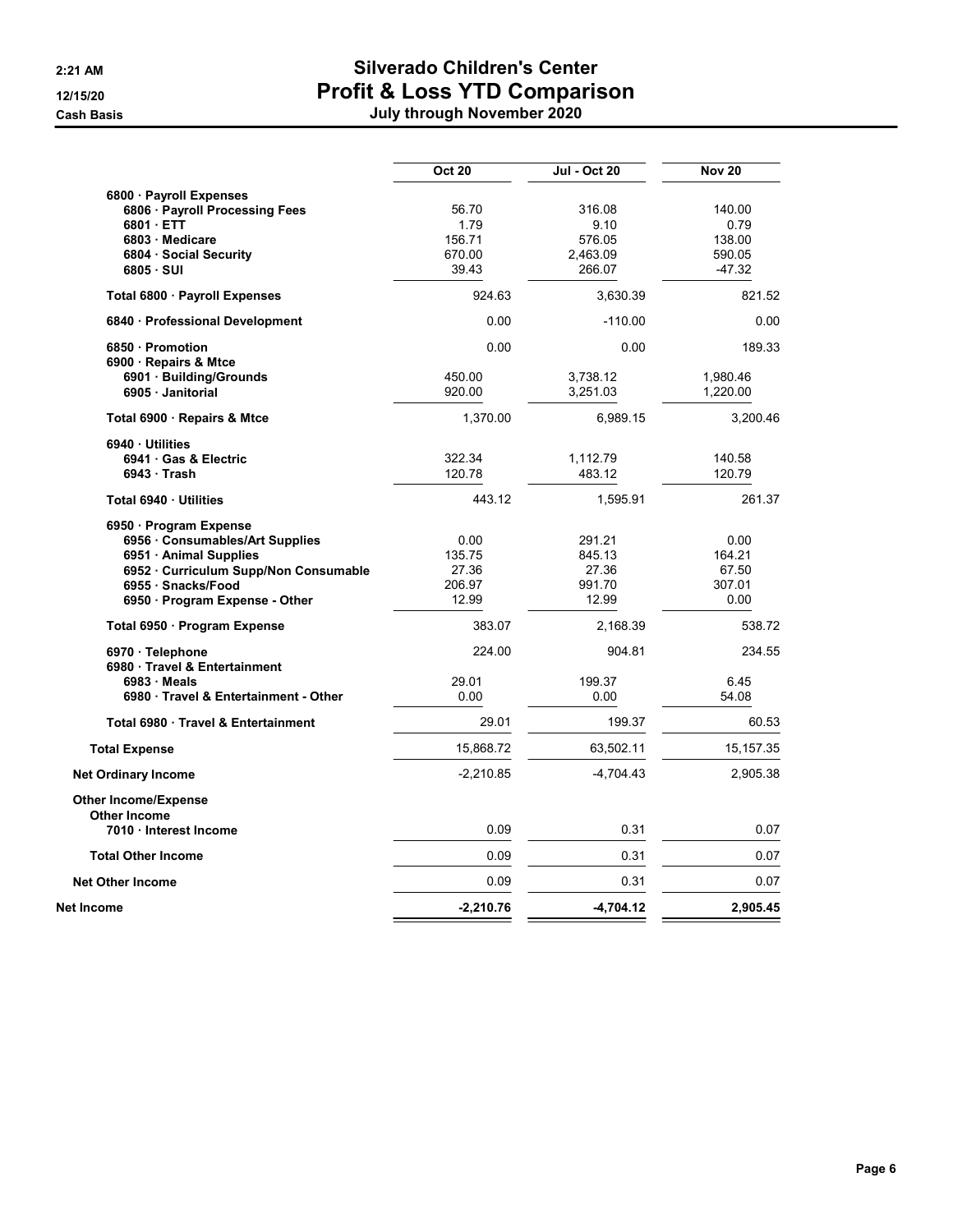|                                     | <b>Oct 20</b> | Jul - Oct 20 | <b>Nov 20</b> |
|-------------------------------------|---------------|--------------|---------------|
| 6800 · Payroll Expenses             |               |              |               |
| 6806 · Payroll Processing Fees      | 56.70         | 316.08       | 140.00        |
| 6801 ETT                            | 1.79          | 9.10         | 0.79          |
| 6803 · Medicare                     | 156.71        | 576.05       | 138.00        |
| 6804 Social Security                | 670.00        | 2,463.09     | 590.05        |
| 6805 · SUI                          | 39.43         | 266.07       | $-47.32$      |
| Total 6800 · Payroll Expenses       | 924.63        | 3.630.39     | 821.52        |
| 6840 · Professional Development     | 0.00          | $-110.00$    | 0.00          |
| 6850 Promotion                      | 0.00          | 0.00         | 189.33        |
| 6900 · Repairs & Mtce               |               |              |               |
| 6901 Building/Grounds               | 450.00        | 3,738.12     | 1,980.46      |
| 6905 · Janitorial                   | 920.00        | 3,251.03     | 1,220.00      |
| Total 6900 · Repairs & Mtce         | 1,370.00      | 6,989.15     | 3,200.46      |
| 6940 Utilities                      |               |              |               |
| 6941 Gas & Electric                 | 322.34        | 1,112.79     | 140.58        |
| $6943 \cdot$ Trash                  | 120.78        | 483.12       | 120.79        |
| Total 6940 · Utilities              | 443.12        | 1,595.91     | 261.37        |
| 6950 Program Expense                |               |              |               |
| 6956 Consumables/Art Supplies       | 0.00          | 291.21       | 0.00          |
| 6951 · Animal Supplies              | 135.75        | 845.13       | 164.21        |
| 6952 Curriculum Supp/Non Consumable | 27.36         | 27.36        | 67.50         |
| 6955 · Snacks/Food                  | 206.97        | 991.70       | 307.01        |
| 6950 · Program Expense - Other      | 12.99         | 12.99        | 0.00          |
| Total 6950 · Program Expense        | 383.07        | 2,168.39     | 538.72        |
| 6970 · Telephone                    | 224.00        | 904.81       | 234.55        |
| 6980 Travel & Entertainment         |               |              |               |
| $6983 \cdot$ Meals                  | 29.01         | 199.37       | 6.45          |
| 6980 Travel & Entertainment - Other | 0.00          | 0.00         | 54.08         |
| Total 6980 Travel & Entertainment   | 29.01         | 199.37       | 60.53         |
| <b>Total Expense</b>                | 15,868.72     | 63,502.11    | 15, 157. 35   |
| <b>Net Ordinary Income</b>          | $-2,210.85$   | $-4,704.43$  | 2,905.38      |
| <b>Other Income/Expense</b>         |               |              |               |
| <b>Other Income</b>                 |               |              |               |
| 7010 Interest Income                | 0.09          | 0.31         | 0.07          |
| <b>Total Other Income</b>           | 0.09          | 0.31         | 0.07          |
| <b>Net Other Income</b>             | 0.09          | 0.31         | 0.07          |
| Net Income                          | $-2,210.76$   | $-4,704.12$  | 2,905.45      |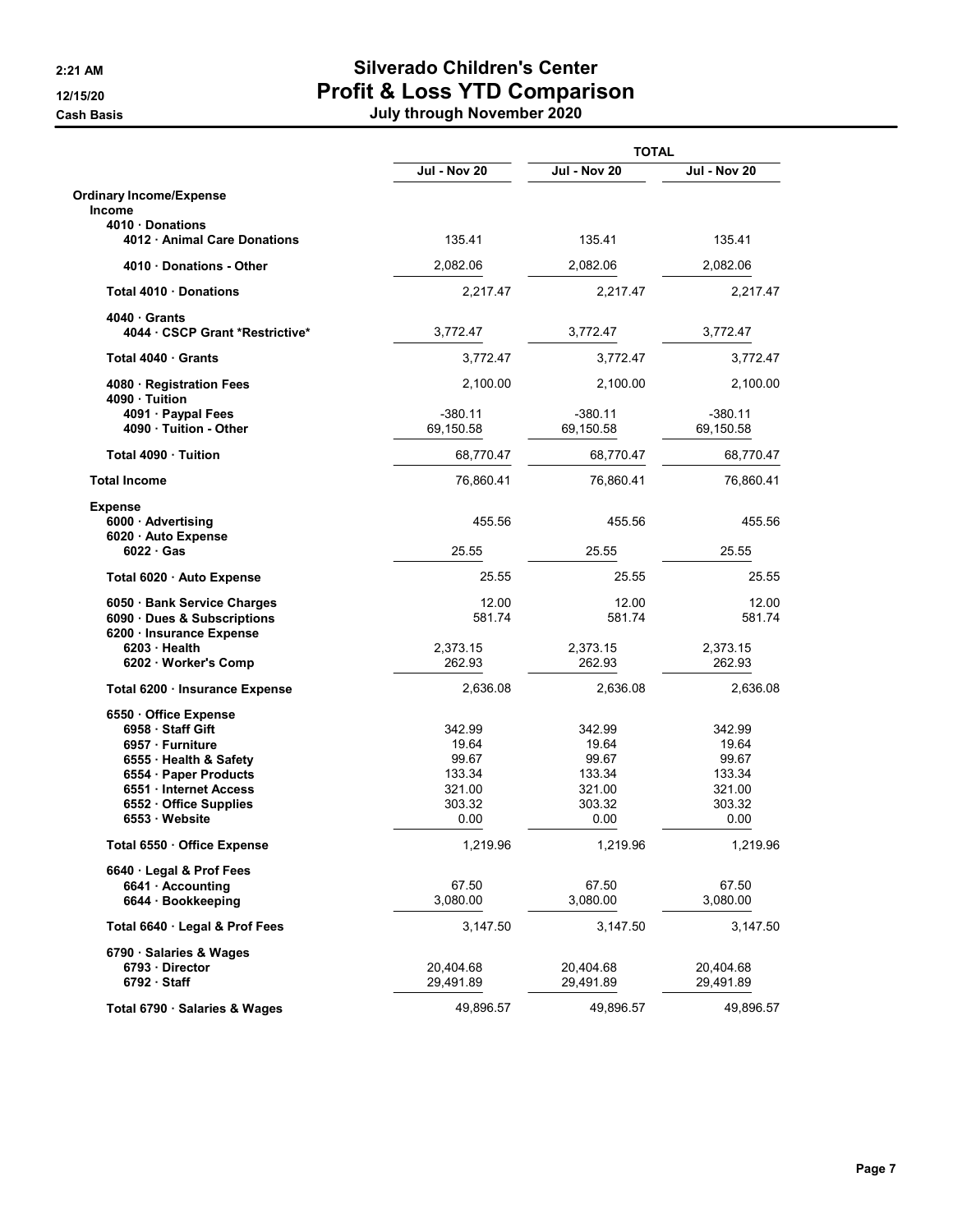|                                                |                     | <b>TOTAL</b>        |                     |
|------------------------------------------------|---------------------|---------------------|---------------------|
|                                                | <b>Jul - Nov 20</b> | <b>Jul - Nov 20</b> | <b>Jul - Nov 20</b> |
| <b>Ordinary Income/Expense</b>                 |                     |                     |                     |
| <b>Income</b>                                  |                     |                     |                     |
| 4010 Donations<br>4012 · Animal Care Donations | 135.41              | 135.41              | 135.41              |
| 4010 Donations - Other                         | 2,082.06            | 2,082.06            | 2,082.06            |
| Total 4010 Donations                           | 2,217.47            | 2,217.47            | 2,217.47            |
| 4040 Grants                                    |                     |                     |                     |
| 4044 · CSCP Grant *Restrictive*                | 3,772.47            | 3,772.47            | 3,772.47            |
| Total 4040 · Grants                            | 3,772.47            | 3,772.47            | 3,772.47            |
| 4080 · Registration Fees<br>4090 · Tuition     | 2,100.00            | 2,100.00            | 2,100.00            |
| 4091 · Paypal Fees                             | $-380.11$           | $-380.11$           | $-380.11$           |
| 4090 Tuition - Other                           | 69,150.58           | 69,150.58           | 69,150.58           |
| Total 4090 Tuition                             | 68,770.47           | 68,770.47           | 68,770.47           |
| <b>Total Income</b>                            | 76,860.41           | 76,860.41           | 76,860.41           |
| <b>Expense</b>                                 |                     | 455.56              |                     |
| 6000 · Advertising<br>6020 · Auto Expense      | 455.56              |                     | 455.56              |
| $6022 \cdot Gas$                               | 25.55               | 25.55               | 25.55               |
| Total 6020 · Auto Expense                      | 25.55               | 25.55               | 25.55               |
| 6050 · Bank Service Charges                    | 12.00               | 12.00               | 12.00               |
| 6090 Dues & Subscriptions                      | 581.74              | 581.74              | 581.74              |
| 6200 · Insurance Expense                       |                     |                     |                     |
| 6203 Health                                    | 2,373.15            | 2,373.15            | 2,373.15            |
| 6202 · Worker's Comp                           | 262.93              | 262.93              | 262.93              |
| Total 6200 · Insurance Expense                 | 2,636.08            | 2,636.08            | 2,636.08            |
| 6550 Office Expense                            |                     |                     |                     |
| 6958 Staff Gift                                | 342.99              | 342.99              | 342.99              |
| 6957 · Furniture                               | 19.64               | 19.64               | 19.64               |
| 6555 · Health & Safety                         | 99.67<br>133.34     | 99.67<br>133.34     | 99.67<br>133.34     |
| 6554 · Paper Products<br>6551 Internet Access  | 321.00              | 321.00              | 321.00              |
| 6552 Office Supplies                           | 303.32              | 303.32              | 303.32              |
| 6553 Website                                   | 0.00                | 0.00                | 0.00                |
| Total 6550 · Office Expense                    | 1,219.96            | 1,219.96            | 1,219.96            |
| 6640 Legal & Prof Fees                         |                     |                     |                     |
| 6641 · Accounting                              | 67.50               | 67.50               | 67.50               |
| 6644 · Bookkeeping                             | 3,080.00            | 3,080.00            | 3,080.00            |
| Total 6640 · Legal & Prof Fees                 | 3,147.50            | 3,147.50            | 3,147.50            |
| 6790 · Salaries & Wages                        |                     |                     |                     |
| 6793 Director                                  | 20,404.68           | 20,404.68           | 20,404.68           |
| $6792 \cdot$ Staff                             | 29,491.89           | 29,491.89           | 29,491.89           |
| Total 6790 · Salaries & Wages                  | 49,896.57           | 49,896.57           | 49,896.57           |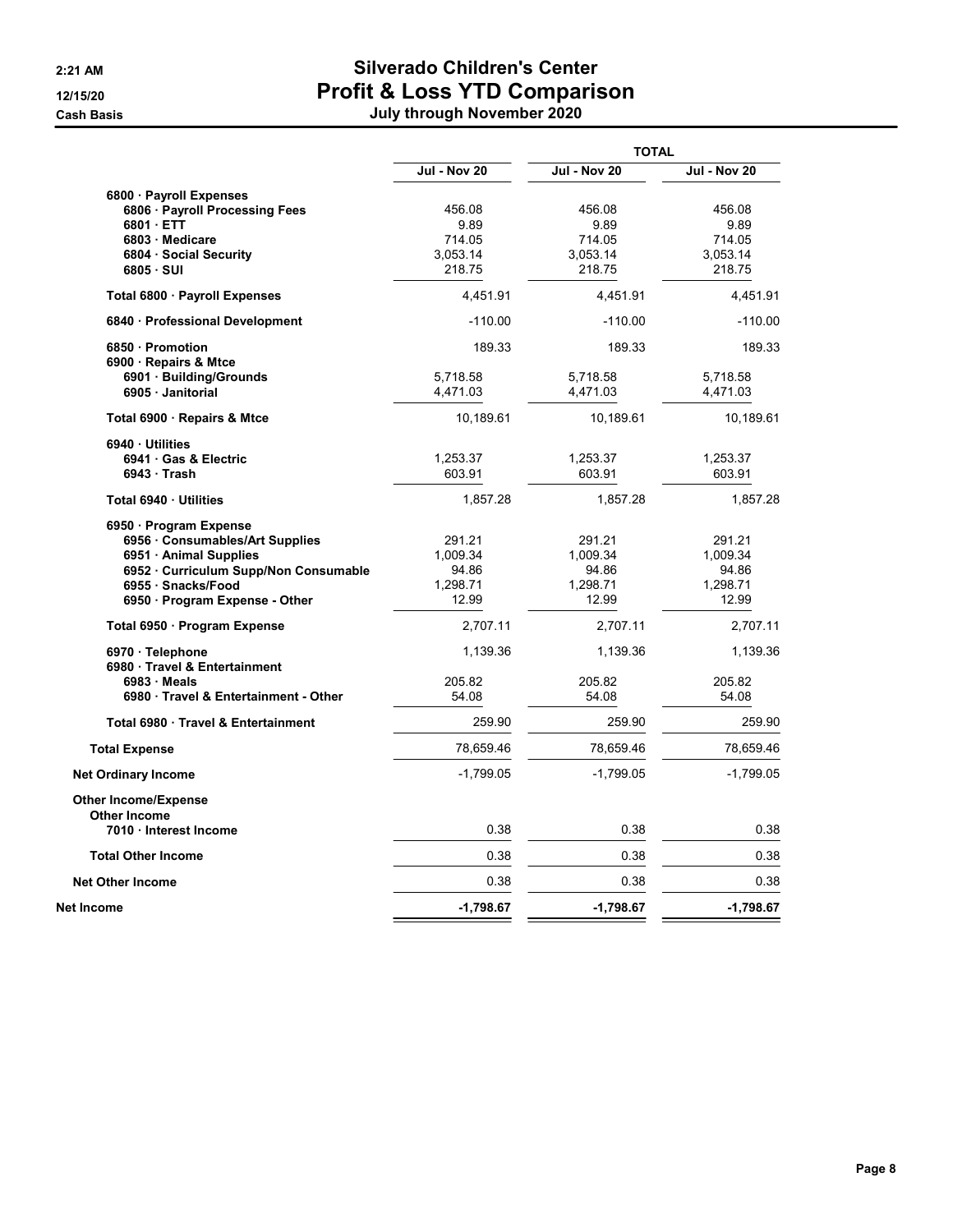|                                                                                                                                                                                |                                                  | <b>TOTAL</b>                                     |                                                  |
|--------------------------------------------------------------------------------------------------------------------------------------------------------------------------------|--------------------------------------------------|--------------------------------------------------|--------------------------------------------------|
|                                                                                                                                                                                | <b>Jul - Nov 20</b>                              | <b>Jul - Nov 20</b>                              | <b>Jul - Nov 20</b>                              |
| 6800 · Payroll Expenses<br>6806 · Payroll Processing Fees<br>6801 ETT<br>6803 Medicare<br>6804 · Social Security<br>$6805 \cdot SUI$                                           | 456.08<br>9.89<br>714.05<br>3,053.14<br>218.75   | 456.08<br>9.89<br>714.05<br>3,053.14<br>218.75   | 456.08<br>9.89<br>714.05<br>3,053.14<br>218.75   |
| Total 6800 · Payroll Expenses                                                                                                                                                  | 4,451.91                                         | 4,451.91                                         | 4,451.91                                         |
| 6840 · Professional Development                                                                                                                                                | $-110.00$                                        | $-110.00$                                        | $-110.00$                                        |
| 6850 · Promotion<br>6900 · Repairs & Mtce<br>6901 · Building/Grounds                                                                                                           | 189.33<br>5,718.58                               | 189.33<br>5,718.58                               | 189.33<br>5,718.58                               |
| 6905 Janitorial                                                                                                                                                                | 4,471.03                                         | 4,471.03                                         | 4,471.03                                         |
| Total 6900 · Repairs & Mtce                                                                                                                                                    | 10,189.61                                        | 10,189.61                                        | 10,189.61                                        |
| 6940 Utilities<br>6941 Gas & Electric<br>6943 Trash                                                                                                                            | 1,253.37<br>603.91                               | 1,253.37<br>603.91                               | 1,253.37<br>603.91                               |
| Total 6940 Utilities                                                                                                                                                           | 1,857.28                                         | 1,857.28                                         | 1,857.28                                         |
| 6950 Program Expense<br>6956 Consumables/Art Supplies<br>6951 Animal Supplies<br>6952 · Curriculum Supp/Non Consumable<br>6955 · Snacks/Food<br>6950 · Program Expense - Other | 291.21<br>1,009.34<br>94.86<br>1,298.71<br>12.99 | 291.21<br>1,009.34<br>94.86<br>1,298.71<br>12.99 | 291.21<br>1,009.34<br>94.86<br>1,298.71<br>12.99 |
| Total 6950 · Program Expense                                                                                                                                                   | 2,707.11                                         | 2,707.11                                         | 2,707.11                                         |
| 6970 · Telephone<br>6980 Travel & Entertainment                                                                                                                                | 1,139.36                                         | 1,139.36                                         | 1,139.36                                         |
| $6983 \cdot$ Meals<br>6980 Travel & Entertainment - Other                                                                                                                      | 205.82<br>54.08                                  | 205.82<br>54.08                                  | 205.82<br>54.08                                  |
| Total 6980 Travel & Entertainment                                                                                                                                              | 259.90                                           | 259.90                                           | 259.90                                           |
| Total Expense                                                                                                                                                                  | 78,659.46                                        | 78,659.46                                        | 78,659.46                                        |
| <b>Net Ordinary Income</b>                                                                                                                                                     | $-1,799.05$                                      | $-1,799.05$                                      | $-1,799.05$                                      |
| <b>Other Income/Expense</b><br>Other Income<br>7010 Interest Income                                                                                                            | 0.38                                             | 0.38                                             | 0.38                                             |
| <b>Total Other Income</b>                                                                                                                                                      | 0.38                                             | 0.38                                             | 0.38                                             |
| <b>Net Other Income</b>                                                                                                                                                        | 0.38                                             | 0.38                                             | 0.38                                             |
| Net Income                                                                                                                                                                     | $-1,798.67$                                      | $-1,798.67$                                      | $-1,798.67$                                      |